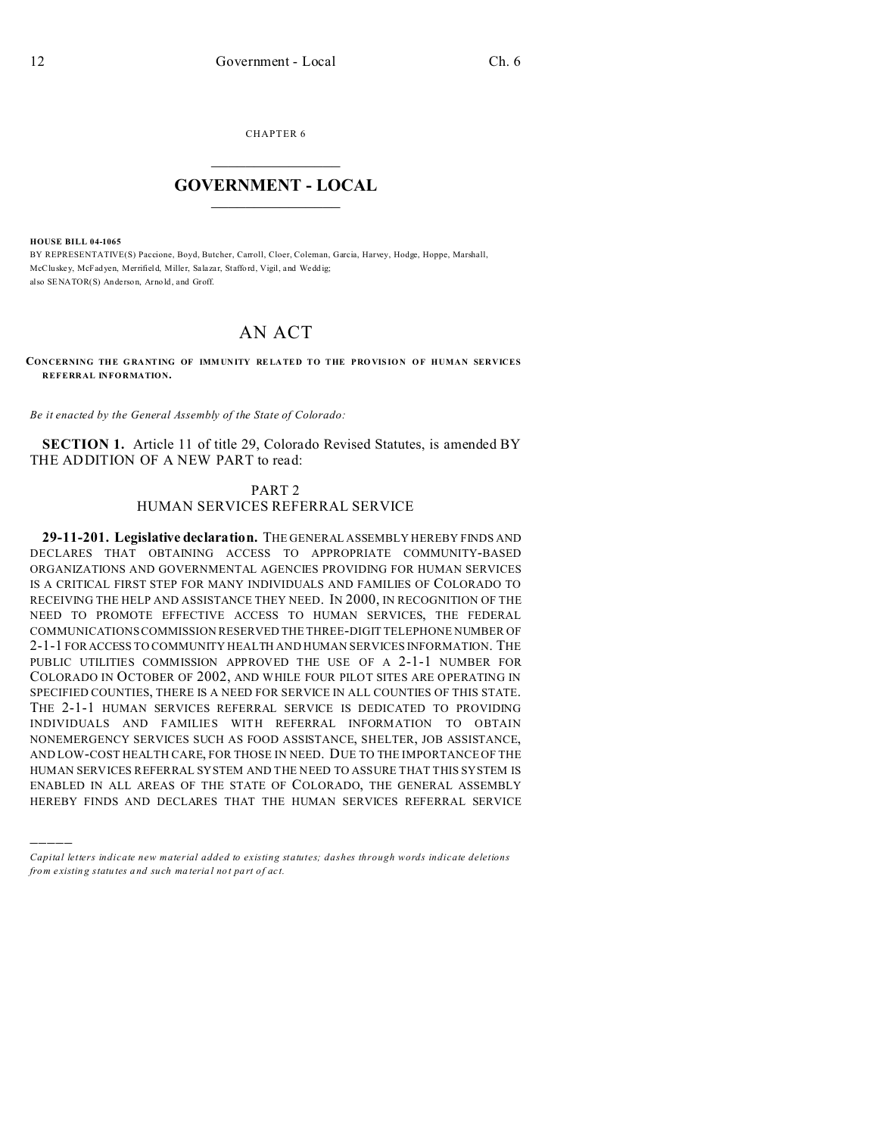CHAPTER 6  $\overline{\phantom{a}}$  , where  $\overline{\phantom{a}}$ 

## **GOVERNMENT - LOCAL**  $\_$   $\_$

**HOUSE BILL 04-1065**

)))))

BY REPRESENTATIVE(S) Paccione, Boyd, Butcher, Carroll, Cloer, Coleman, Garcia, Harvey, Hodge, Hoppe, Marshall, McCluskey, McFadyen, Merrifield, Miller, Salazar, Staffo rd, Vigil, and Wedd ig; also SENATOR(S) Anderson, Arno ld, and Groff.

## AN ACT

**CONCERNING THE G RANTING OF IMM UNITY RELA TED TO THE PRO VIS ION OF HUMAN SERVICES REFERRAL INFORMATION.**

*Be it enacted by the General Assembly of the State of Colorado:*

**SECTION 1.** Article 11 of title 29, Colorado Revised Statutes, is amended BY THE ADDITION OF A NEW PART to read:

> PART 2 HUMAN SERVICES REFERRAL SERVICE

**29-11-201. Legislative declaration.** THE GENERAL ASSEMBLY HEREBY FINDS AND DECLARES THAT OBTAINING ACCESS TO APPROPRIATE COMMUNITY-BASED ORGANIZATIONS AND GOVERNMENTAL AGENCIES PROVIDING FOR HUMAN SERVICES IS A CRITICAL FIRST STEP FOR MANY INDIVIDUALS AND FAMILIES OF COLORADO TO RECEIVING THE HELP AND ASSISTANCE THEY NEED. IN 2000, IN RECOGNITION OF THE NEED TO PROMOTE EFFECTIVE ACCESS TO HUMAN SERVICES, THE FEDERAL COMMUNICATIONS COMMISSION RESERVED THE THREE-DIGIT TELEPHONE NUMBER OF 2-1-1 FOR ACCESS TO COMMUNITY HEALTH AND HUMAN SERVICES INFORMATION. THE PUBLIC UTILITIES COMMISSION APPROVED THE USE OF A 2-1-1 NUMBER FOR COLORADO IN OCTOBER OF 2002, AND WHILE FOUR PILOT SITES ARE OPERATING IN SPECIFIED COUNTIES, THERE IS A NEED FOR SERVICE IN ALL COUNTIES OF THIS STATE. THE 2-1-1 HUMAN SERVICES REFERRAL SERVICE IS DEDICATED TO PROVIDING INDIVIDUALS AND FAMILIES WITH REFERRAL INFORMATION TO OBTAIN NONEMERGENCY SERVICES SUCH AS FOOD ASSISTANCE, SHELTER, JOB ASSISTANCE, AND LOW-COST HEALTH CARE, FOR THOSE IN NEED. DUE TO THE IMPORTANCE OF THE HUMAN SERVICES REFERRAL SYSTEM AND THE NEED TO ASSURE THAT THIS SYSTEM IS ENABLED IN ALL AREAS OF THE STATE OF COLORADO, THE GENERAL ASSEMBLY HEREBY FINDS AND DECLARES THAT THE HUMAN SERVICES REFERRAL SERVICE

*Capital letters indicate new material added to existing statutes; dashes through words indicate deletions from e xistin g statu tes a nd such ma teria l no t pa rt of ac t.*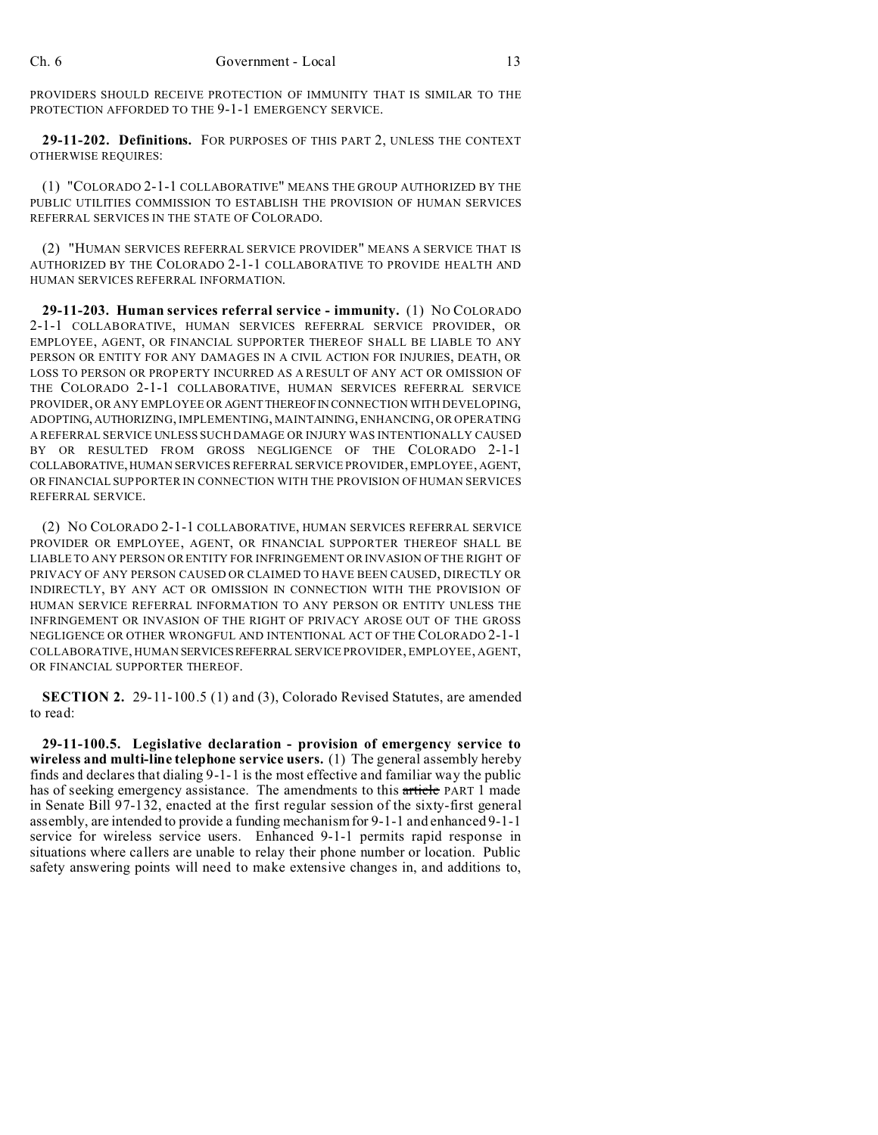PROVIDERS SHOULD RECEIVE PROTECTION OF IMMUNITY THAT IS SIMILAR TO THE PROTECTION AFFORDED TO THE 9-1-1 EMERGENCY SERVICE.

**29-11-202. Definitions.** FOR PURPOSES OF THIS PART 2, UNLESS THE CONTEXT OTHERWISE REQUIRES:

(1) "COLORADO 2-1-1 COLLABORATIVE" MEANS THE GROUP AUTHORIZED BY THE PUBLIC UTILITIES COMMISSION TO ESTABLISH THE PROVISION OF HUMAN SERVICES REFERRAL SERVICES IN THE STATE OF COLORADO.

(2) "HUMAN SERVICES REFERRAL SERVICE PROVIDER" MEANS A SERVICE THAT IS AUTHORIZED BY THE COLORADO 2-1-1 COLLABORATIVE TO PROVIDE HEALTH AND HUMAN SERVICES REFERRAL INFORMATION.

**29-11-203. Human services referral service - immunity.** (1) NO COLORADO 2-1-1 COLLABORATIVE, HUMAN SERVICES REFERRAL SERVICE PROVIDER, OR EMPLOYEE, AGENT, OR FINANCIAL SUPPORTER THEREOF SHALL BE LIABLE TO ANY PERSON OR ENTITY FOR ANY DAMAGES IN A CIVIL ACTION FOR INJURIES, DEATH, OR LOSS TO PERSON OR PROPERTY INCURRED AS A RESULT OF ANY ACT OR OMISSION OF THE COLORADO 2-1-1 COLLABORATIVE, HUMAN SERVICES REFERRAL SERVICE PROVIDER, OR ANY EMPLOYEE OR AGENTTHEREOFIN CONNECTION WITH DEVELOPING, ADOPTING,AUTHORIZING, IMPLEMENTING, MAINTAINING, ENHANCING, OR OPERATING A REFERRAL SERVICE UNLESS SUCH DAMAGE OR INJURY WAS INTENTIONALLY CAUSED BY OR RESULTED FROM GROSS NEGLIGENCE OF THE COLORADO 2-1-1 COLLABORATIVE,HUMAN SERVICES REFERRAL SERVICE PROVIDER, EMPLOYEE, AGENT, OR FINANCIAL SUPPORTER IN CONNECTION WITH THE PROVISION OF HUMAN SERVICES REFERRAL SERVICE.

(2) NO COLORADO 2-1-1 COLLABORATIVE, HUMAN SERVICES REFERRAL SERVICE PROVIDER OR EMPLOYEE, AGENT, OR FINANCIAL SUPPORTER THEREOF SHALL BE LIABLE TO ANY PERSON OR ENTITY FOR INFRINGEMENT OR INVASION OF THE RIGHT OF PRIVACY OF ANY PERSON CAUSED OR CLAIMED TO HAVE BEEN CAUSED, DIRECTLY OR INDIRECTLY, BY ANY ACT OR OMISSION IN CONNECTION WITH THE PROVISION OF HUMAN SERVICE REFERRAL INFORMATION TO ANY PERSON OR ENTITY UNLESS THE INFRINGEMENT OR INVASION OF THE RIGHT OF PRIVACY AROSE OUT OF THE GROSS NEGLIGENCE OR OTHER WRONGFUL AND INTENTIONAL ACT OF THE COLORADO 2-1-1 COLLABORATIVE, HUMAN SERVICESREFERRAL SERVICE PROVIDER, EMPLOYEE, AGENT, OR FINANCIAL SUPPORTER THEREOF.

**SECTION 2.** 29-11-100.5 (1) and (3), Colorado Revised Statutes, are amended to read:

**29-11-100.5. Legislative declaration - provision of emergency service to wireless and multi-line telephone service users.** (1) The general assembly hereby finds and declares that dialing 9-1-1 is the most effective and familiar way the public has of seeking emergency assistance. The amendments to this article PART 1 made in Senate Bill 97-132, enacted at the first regular session of the sixty-first general assembly, are intended to provide a funding mechanism for 9-1-1 and enhanced 9-1-1 service for wireless service users. Enhanced 9-1-1 permits rapid response in situations where callers are unable to relay their phone number or location. Public safety answering points will need to make extensive changes in, and additions to,